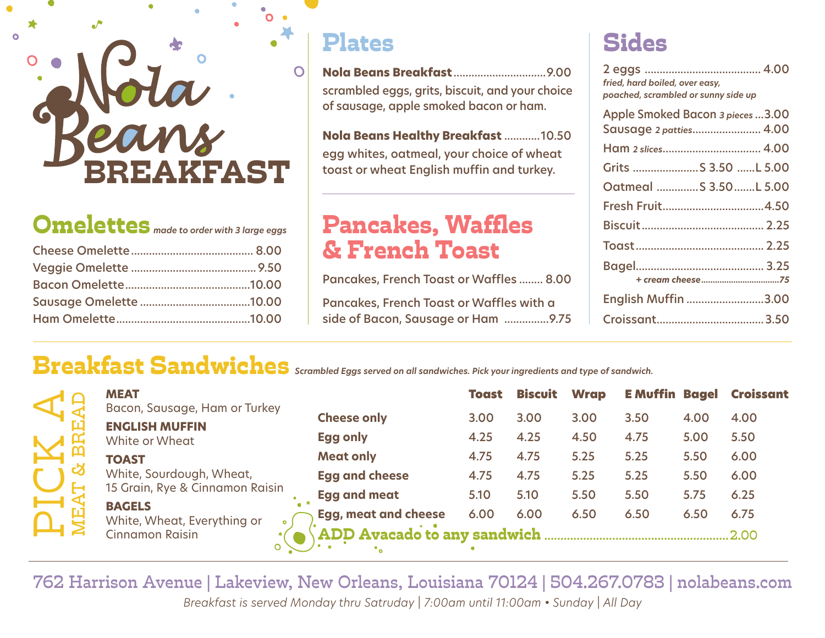# 'F'A ST

Omelettes *made to order with 3 large eggs*

#### Plates

**Nola Beans Breakfast** ...............................9.00 scrambled eggs, grits, biscuit, and your choice of sausage, apple smoked bacon or ham.

**Nola Beans Healthy Breakfast** ............10.50 egg whites, oatmeal, your choice of wheat toast or wheat English muffin and turkey.

### Pancakes, Waffles & French Toast

Pancakes, French Toast or Waffles ........ 8.00 Pancakes, French Toast or Waffles with a side of Bacon, Sausage or Ham ...............9.75

# Sides

| fried, hard boiled, over easy,<br>poached, scrambled or sunny side up |
|-----------------------------------------------------------------------|
| Apple Smoked Bacon 3 pieces  3.00<br>Sausage 2 patties 4.00           |
| Ham 2 slices 4.00                                                     |
| Grits  S 3.50 L 5.00                                                  |
| Oatmeal S 3.50 L 5.00                                                 |
| Fresh Fruit4.50                                                       |
|                                                                       |
|                                                                       |
|                                                                       |
| English Muffin 3.00                                                   |
|                                                                       |

## Breakfast Sandwiches *Scrambled Eggs served on all sandwiches. Pick your ingredients and type of sandwich.*

|                                                             | <b>MEAT</b><br>Bacon, Sausage, Ham or Turkey                                                                                      |                             | <b>Toast</b> | <b>Biscuit</b> | <b>Wrap</b> |      |      | <b>EMuffin Bagel Croissant</b> |
|-------------------------------------------------------------|-----------------------------------------------------------------------------------------------------------------------------------|-----------------------------|--------------|----------------|-------------|------|------|--------------------------------|
| <b>ENGLISH MUFFIN</b><br><b>TOAST</b><br>න<br><b>BAGELS</b> |                                                                                                                                   | <b>Cheese only</b>          | 3.00         | 3.00           | 3.00        | 3.50 | 4.00 | 4.00                           |
|                                                             | White or Wheat                                                                                                                    | <b>Egg only</b>             | 4.25         | 4.25           | 4.50        | 4.75 | 5.00 | 5.50                           |
|                                                             | White, Sourdough, Wheat,<br>15 Grain, Rye & Cinnamon Raisin<br>White, Wheat, Everything or<br>$\bullet$<br><b>Cinnamon Raisin</b> | <b>Meat only</b>            | 4.75         | 4.75           | 5.25        | 5.25 | 5.50 | 6.00                           |
|                                                             |                                                                                                                                   | <b>Egg and cheese</b>       | 4.75         | 4.75           | 5.25        | 5.25 | 5.50 | 6.00                           |
|                                                             |                                                                                                                                   | <b>Egg and meat</b>         | 5.10         | 5.10           | 5.50        | 5.50 | 5.75 | 6.25                           |
|                                                             |                                                                                                                                   | <b>Egg, meat and cheese</b> | 6.00         | 6.00           | 6.50        | 6.50 | 6.50 | 6.75                           |
|                                                             |                                                                                                                                   | ADD Avacado to any sandwich |              |                |             |      |      |                                |
|                                                             |                                                                                                                                   |                             |              |                |             |      |      |                                |

762 Harrison Avenue | Lakeview, New Orleans, Louisiana 70124 | 504.267.0783 | nolabeans.com *Breakfast is served Monday thru Satruday | 7:00am until 11:00am • Sunday | All Day*